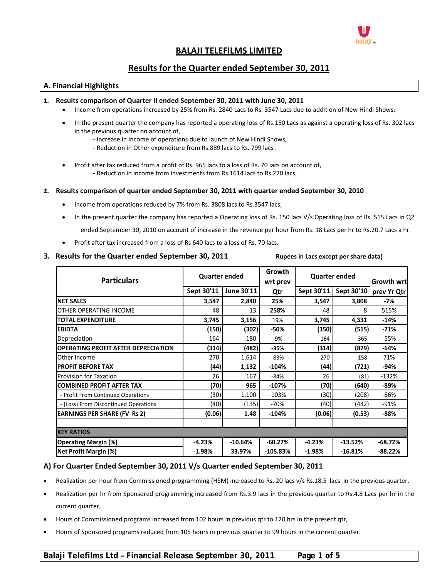

# **BALAJI TELEFILMS LIMITED**

# **Results for the Quarter ended September 30, 2011**

## **A. Financial Highlights**

#### **1. Results comparison of Quarter II ended September 30, 2011 with June 30, 2011**

- Income from operations increased by 25% from Rs. 2840 Lacs to Rs. 3547 Lacs due to addition of New Hindi Shows;
- In the present quarter the company has reported a operating loss of Rs.150 Lacs as against a operating loss of Rs. 302 lacs in the previous quarter on account of,
	- ‐ Increase in income of operations due to launch of New Hindi Shows,
	- ‐ Reduction in Other expenditure from Rs.889 lacs to Rs. 799 lacs .
- Profit after tax reduced from a profit of Rs. 965 lacs to a loss of Rs. 70 lacs on account of, ‐ Reduction in income from investments from Rs.1614 lacs to Rs.270 lacs,

#### **2. Results comparison of quarter ended September 30, 2011 with quarter ended September 30, 2010**

- Income from operations reduced by 7% from Rs. 3808 lacs to Rs.3547 lacs;
- In the present quarter the company has reported a Operating loss of Rs. 150 lacs V/s Operating loss of Rs. 515 Lacs in Q2 ended September 30, 2010 on account of increase in the revenue per hour from Rs. 18 Lacs per hr to Rs.20.7 Lacs a hr.
- Profit after tax increased from a loss of Rs 640 lacs to a loss of Rs. 70 lacs.

## 3. Results for the Quarter ended September 30, 2011 Rupees in Lacs except per share data)

| <b>Particulars</b>                         | <b>Quarter ended</b> |            | Growth<br>wrt prev | <b>Quarter ended</b> |            | <b>Growth wrt</b> |
|--------------------------------------------|----------------------|------------|--------------------|----------------------|------------|-------------------|
|                                            | Sept 30'11           | June 30'11 | Qtr                | Sept 30'11           | Sept 30'10 | prev Yr Qtr       |
| <b>NET SALES</b>                           | 3,547                | 2,840      | 25%                | 3,547                | 3,808      | -7%               |
| OTHER OPERATING INCOME                     | 48                   | 13         | 258%               | 48                   | 8          | 515%              |
| <b>TOTAL EXPENDITURE</b>                   | 3,745                | 3,156      | 19%                | 3,745                | 4,331      | -14%              |
| <b>EBIDTA</b>                              | (150)                | (302)      | -50%               | (150)                | (515)      | $-71%$            |
| Depreciation                               | 164                  | 180        | $-9%$              | 164                  | 365        | $-55%$            |
| <b>OPERATING PROFIT AFTER DEPRECIATION</b> | (314)                | (482)      | $-35%$             | (314)                | (879)      | $-64%$            |
| Other Income                               | 270                  | 1,614      | $-83%$             | 270                  | 158        | 71%               |
| <b>PROFIT BEFORE TAX</b>                   | (44)                 | 1,132      | $-104%$            | (44)                 | (721)      | -94%              |
| <b>Provision for Taxation</b>              | 26                   | 167        | -84%               | 26                   | (81)       | $-132%$           |
| <b>COMBINED PROFIT AFTER TAX</b>           | (70)                 | 965        | $-107%$            | (70)                 | (640)      | $-89%$            |
| - Profit From Continued Operations         | (30)                 | 1,100      | $-103%$            | (30)                 | (208)      | $-86%$            |
| - (Loss) From Discontinued Operations      | (40)                 | (135)      | -70%               | (40)                 | (432)      | $-91%$            |
| <b>EARNINGS PER SHARE (FV Rs 2)</b>        | (0.06)               | 1.48       | $-104%$            | (0.06)               | (0.53)     | $-88%$            |
|                                            |                      |            |                    |                      |            |                   |
| <b>KEY RATIOS</b>                          |                      |            |                    |                      |            |                   |
| <b>Operating Margin (%)</b>                | $-4.23%$             | $-10.64%$  | $-60.27%$          | $-4.23%$             | $-13.52%$  | $-68.72%$         |
| Net Profit Margin (%)                      | $-1.98%$             | 33.97%     | $-105.83%$         | $-1.98%$             | $-16.81%$  | $-88.22%$         |

## **A) For Quarter Ended September 30, 2011 V/s Quarter ended September 30, 2011**

- Realization per hour from Commissioned programming (HSM) increased to Rs. 20 lacs v/s Rs.18.5 lacs in the previous quarter,
- Realization per hr from Sponsored programming increased from Rs.3.9 lacs in the previous quarter to Rs.4.8 Lacs per hr in the current quarter,
- Hours of Commissioned programs increased from 102 hours in previous qtr to 120 hrs in the present qtr,
- Hours of Sponsored programs reduced from 105 hours in previous quarter to 99 hours in the current quarter.

# **Balaji Telefilms Ltd – Financial Release September 30, 2011 Page 1 of 5**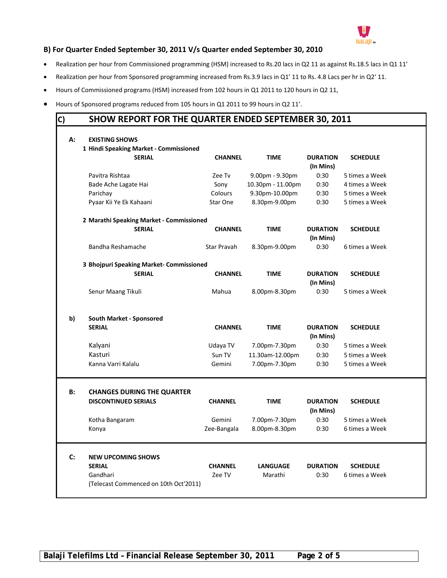

# **B) For Quarter Ended September 30, 2011 V/s Quarter ended September 30, 2010**

- Realization per hour from Commissioned programming (HSM) increased to Rs.20 lacs in Q2 11 as against Rs.18.5 lacs in Q1 11'
- Realization per hour from Sponsored programming increased from Rs.3.9 lacs in Q1' 11 to Rs. 4.8 Lacs per hr in Q2' 11.
- Hours of Commissioned programs (HSM) increased from 102 hours in Q1 2011 to 120 hours in Q2 11,
- Hours of Sponsored programs reduced from 105 hours in Q1 2011 to 99 hours in Q2 11'.

# **C) SHOW REPORT FOR THE QUARTER ENDED SEPTEMBER 30, 2011**

| А:        | <b>EXISTING SHOWS</b>                             |                |                   |                              |                 |
|-----------|---------------------------------------------------|----------------|-------------------|------------------------------|-----------------|
|           | 1 Hindi Speaking Market - Commissioned            |                |                   |                              |                 |
|           | <b>SERIAL</b>                                     | <b>CHANNEL</b> | <b>TIME</b>       | <b>DURATION</b><br>(In Mins) | <b>SCHEDULE</b> |
|           | Pavitra Rishtaa                                   | Zee Tv         | 9.00pm - 9.30pm   | 0:30                         | 5 times a Week  |
|           | Bade Ache Lagate Hai                              | Sonv           | 10.30pm - 11.00pm | 0:30                         | 4 times a Week  |
|           | Parichay                                          | Colours        | 9.30pm-10.00pm    | 0:30                         | 5 times a Week  |
|           | Pyaar Kii Ye Ek Kahaani                           | Star One       | 8.30pm-9.00pm     | 0:30                         | 5 times a Week  |
|           | 2 Marathi Speaking Market - Commissioned          |                |                   |                              |                 |
|           | <b>SERIAL</b>                                     | <b>CHANNEL</b> | <b>TIME</b>       | <b>DURATION</b><br>(In Mins) | <b>SCHEDULE</b> |
|           | Bandha Reshamache                                 | Star Pravah    | 8.30pm-9.00pm     | 0:30                         | 6 times a Week  |
|           | 3 Bhojpuri Speaking Market- Commissioned          |                |                   |                              |                 |
|           | <b>SERIAL</b>                                     | <b>CHANNEL</b> | <b>TIME</b>       | <b>DURATION</b><br>(In Mins) | <b>SCHEDULE</b> |
|           | Senur Maang Tikuli                                | Mahua          | 8.00pm-8.30pm     | 0:30                         | 5 times a Week  |
| b)        | <b>South Market - Sponsored</b>                   |                |                   |                              |                 |
|           | <b>SERIAL</b>                                     | <b>CHANNEL</b> | <b>TIME</b>       | <b>DURATION</b><br>(In Mins) | <b>SCHEDULE</b> |
|           | Kalyani                                           | Udaya TV       | 7.00pm-7.30pm     | 0:30                         | 5 times a Week  |
|           | Kasturi                                           | Sun TV         | 11.30am-12.00pm   | 0:30                         | 5 times a Week  |
|           | Kanna Varri Kalalu                                | Gemini         | 7.00pm-7.30pm     | 0:30                         | 5 times a Week  |
|           |                                                   |                |                   |                              |                 |
| <b>B:</b> | <b>CHANGES DURING THE QUARTER</b>                 |                |                   |                              |                 |
|           | <b>DISCONTINUED SERIALS</b>                       | <b>CHANNEL</b> | <b>TIME</b>       | <b>DURATION</b><br>(In Mins) | <b>SCHEDULE</b> |
|           | Kotha Bangaram                                    | Gemini         | 7.00pm-7.30pm     | 0:30                         | 5 times a Week  |
|           | Konya                                             | Zee-Bangala    | 8.00pm-8.30pm     | 0:30                         | 6 times a Week  |
|           |                                                   |                |                   |                              |                 |
| C:        | <b>NEW UPCOMING SHOWS</b>                         |                |                   |                              |                 |
|           | <b>SERIAL</b>                                     | <b>CHANNEL</b> | <b>LANGUAGE</b>   | <b>DURATION</b>              | <b>SCHEDULE</b> |
|           | Gandhari<br>(Telecast Commenced on 10th Oct'2011) | Zee TV         | Marathi           | 0:30                         | 6 times a Week  |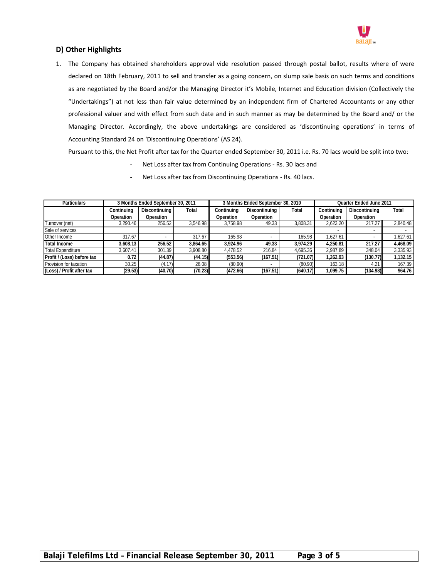

# **D) Other Highlights**

1. The Company has obtained shareholders approval vide resolution passed through postal ballot, results where of were declared on 18th February, 2011 to sell and transfer as a going concern, on slump sale basis on such terms and conditions as are negotiated by the Board and/or the Managing Director it's Mobile, Internet and Education division (Collectively the "Undertakings") at not less than fair value determined by an independent firm of Chartered Accountants or any other professional valuer and with effect from such date and in such manner as may be determined by the Board and/ or the Managing Director. Accordingly, the above undertakings are considered as 'discontinuing operations' in terms of Accounting Standard 24 on 'Discontinuing Operations' (AS 24).

Pursuant to this, the Net Profit after tax for the Quarter ended September 30, 2011 i.e. Rs. 70 lacs would be split into two:

- Net Loss after tax from Continuing Operations Rs. 30 lacs and
- Net Loss after tax from Discontinuing Operations Rs. 40 lacs.

| <b>Particulars</b>         | 3 Months Ended September 30, 2011 |               |          |                  | 3 Months Ended September 30, 2010 |          | Quarter Ended June 2011 |                      |          |
|----------------------------|-----------------------------------|---------------|----------|------------------|-----------------------------------|----------|-------------------------|----------------------|----------|
|                            | Continuing                        | Discontinuing | Total    | Continuing       | Discontinuina                     | Total    | Continuina              | <b>Discontinuina</b> | Total    |
|                            | Operation                         | Operation     |          | <b>Operation</b> | Operation                         |          | Operation               | Operation            |          |
| Turnover (net)             | 3,290.46                          | 256.52        | 3,546.98 | 3.758.98         | 49.33                             | 3,808.31 | 2,623.20                | 217.27               | 2,840.48 |
| Sale of services           |                                   |               |          |                  |                                   |          |                         |                      |          |
| Other Income               | 317.67                            |               | 317.67   | 165.98           |                                   | 165.98   | 1.627.61                |                      | 1.627.61 |
| <b>Total Income</b>        | 3,608.13                          | 256.52        | 3,864.65 | 3,924.96         | 49.33                             | 3.974.29 | 4.250.81                | 217.27               | 4,468.09 |
| <b>Total Expenditure</b>   | 3,607.41                          | 301.39        | 3,908.80 | 4,478.52         | 216.84                            | 4.695.36 | 2.987.89                | 348.04               | 3,335.93 |
| Profit / (Loss) before tax | 0.72                              | (44.87)       | (44.15)  | (553.56)         | (167.51)                          | (721.07) | 1.262.93                | (130.77)             | 1.132.15 |
| Provision for taxation     | 30.25                             | (4.17)        | 26.08    | (80.90)          |                                   | (80.90)  | 163.18                  | 4.21                 | 167.39   |
| (Loss) / Profit after tax  | (29.53)                           | (40.70)       | (70.23)  | (472.66)         | (167.51)                          | (640.17) | 1,099.75                | (134.98)             | 964.76   |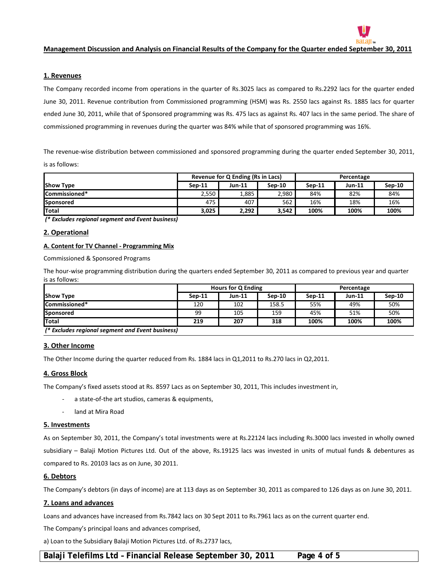

#### **1. Revenues**

The Company recorded income from operations in the quarter of Rs.3025 lacs as compared to Rs.2292 lacs for the quarter ended June 30, 2011. Revenue contribution from Commissioned programming (HSM) was Rs. 2550 lacs against Rs. 1885 lacs for quarter ended June 30, 2011, while that of Sponsored programming was Rs. 475 lacs as against Rs. 407 lacs in the same period. The share of commissioned programming in revenues during the quarter was 84% while that of sponsored programming was 16%.

The revenue‐wise distribution between commissioned and sponsored programming during the quarter ended September 30, 2011, is as follows:

|                      |          | Revenue for Q Ending (Rs in Lacs) |          | Percentage |               |          |  |
|----------------------|----------|-----------------------------------|----------|------------|---------------|----------|--|
| <b>Show Type</b>     | $Sen-11$ | Jun-11                            | $Sen-10$ | $Sen-11$   | <b>Jun-11</b> | $Sep-10$ |  |
| <b>Commissioned*</b> | 2,550    | 5885،∡                            | 2,980    | 84%        | 82%           | 84%      |  |
| Sponsored            | 475      | 407                               | 562      | 16%        | 18%           | 16%      |  |
| <b>Total</b>         | 3,025    | 2.292                             | 3,542    | 100%       | 100%          | 100%     |  |

*(\* Excludes regional segment and Event business)*

#### **2. Operational**

## **A. Content for TV Channel ‐ Programming Mix**

Commissioned & Sponsored Programs

The hour-wise programming distribution during the quarters ended September 30, 2011 as compared to previous year and quarter is as follows:

|                                                  | <b>Hours for Q Ending</b> |        |          | Percentage |               |        |  |  |
|--------------------------------------------------|---------------------------|--------|----------|------------|---------------|--------|--|--|
| <b>Show Type</b>                                 | $Sen-11$                  | Jun-11 | $Sen-10$ | $Sen-11$   | <b>Jun-11</b> | Sep-10 |  |  |
| Commissioned*                                    | 120                       | 102    | 158.5    | 55%        | 49%           | 50%    |  |  |
| Sponsored                                        | 99                        | 105    | 159      | 45%        | 51%           | 50%    |  |  |
| <b>Total</b>                                     | 219                       | 207    | 318      | 100%       | 100%          | 100%   |  |  |
| I* Eveludes regional segment and Eyent business) |                           |        |          |            |               |        |  |  |

*(\* Excludes regional segment and Event business)*

#### **3. Other Income**

The Other Income during the quarter reduced from Rs. 1884 lacs in Q1,2011 to Rs.270 lacs in Q2,2011.

#### **4. Gross Block**

The Company's fixed assets stood at Rs. 8597 Lacs as on September 30, 2011, This includes investment in,

- ‐ a state‐of‐the art studios, cameras & equipments,
- ‐ land at Mira Road

#### **5. Investments**

As on September 30, 2011, the Company's total investments were at Rs.22124 lacs including Rs.3000 lacs invested in wholly owned subsidiary – Balaji Motion Pictures Ltd. Out of the above, Rs.19125 lacs was invested in units of mutual funds & debentures as compared to Rs. 20103 lacs as on June, 30 2011.

### **6. Debtors**

The Company's debtors (in days of income) are at 113 days as on September 30, 2011 as compared to 126 days as on June 30, 2011.

#### **7. Loans and advances**

Loans and advances have increased from Rs.7842 lacs on 30 Sept 2011 to Rs.7961 lacs as on the current quarter end.

The Company's principal loans and advances comprised,

a) Loan to the Subsidiary Balaji Motion Pictures Ltd. of Rs.2737 lacs,

## **Balaji Telefilms Ltd – Financial Release September 30, 2011 Page 4 of 5**